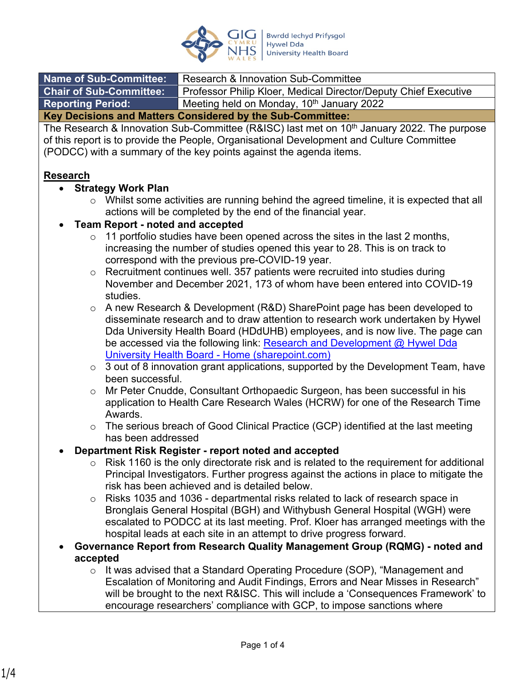

| <b>Name of Sub-Committee:</b>                              | Research & Innovation Sub-Committee                             |  |  |
|------------------------------------------------------------|-----------------------------------------------------------------|--|--|
| <b>Chair of Sub-Committee:</b>                             | Professor Philip Kloer, Medical Director/Deputy Chief Executive |  |  |
| <b>Reporting Period:</b>                                   | Meeting held on Monday, 10 <sup>th</sup> January 2022           |  |  |
| Key Decisions and Matters Considered by the Sub-Committee: |                                                                 |  |  |

The Research & Innovation Sub-Committee (R&ISC) last met on 10<sup>th</sup> January 2022. The purpose of this report is to provide the People, Organisational Development and Culture Committee (PODCC) with a summary of the key points against the agenda items.

#### **Research**

- **Strategy Work Plan**
	- o Whilst some activities are running behind the agreed timeline, it is expected that all actions will be completed by the end of the financial year.

#### **Team Report - noted and accepted**

- $\circ$  11 portfolio studies have been opened across the sites in the last 2 months, increasing the number of studies opened this year to 28. This is on track to correspond with the previous pre-COVID-19 year.
- o Recruitment continues well. 357 patients were recruited into studies during November and December 2021, 173 of whom have been entered into COVID-19 studies.
- o A new Research & Development (R&D) SharePoint page has been developed to disseminate research and to draw attention to research work undertaken by Hywel Dda University Health Board (HDdUHB) employees, and is now live. The page can be accessed via the following link: Research and Development @ Hywel Dda [University Health Board - Home \(sharepoint.com\)](https://nhswales365.sharepoint.com/sites/HDD_ResearchandDev)
- $\circ$  3 out of 8 innovation grant applications, supported by the Development Team, have been successful.
- $\circ$  Mr Peter Cnudde, Consultant Orthopaedic Surgeon, has been successful in his application to Health Care Research Wales (HCRW) for one of the Research Time Awards.
- o The serious breach of Good Clinical Practice (GCP) identified at the last meeting has been addressed

#### **Department Risk Register - report noted and accepted**

- $\circ$  Risk 1160 is the only directorate risk and is related to the requirement for additional Principal Investigators. Further progress against the actions in place to mitigate the risk has been achieved and is detailed below.
- $\circ$  Risks 1035 and 1036 departmental risks related to lack of research space in Bronglais General Hospital (BGH) and Withybush General Hospital (WGH) were escalated to PODCC at its last meeting. Prof. Kloer has arranged meetings with the hospital leads at each site in an attempt to drive progress forward.
- **Governance Report from Research Quality Management Group (RQMG) noted and accepted**
	- o It was advised that a Standard Operating Procedure (SOP), "Management and Escalation of Monitoring and Audit Findings, Errors and Near Misses in Research" will be brought to the next R&ISC. This will include a 'Consequences Framework' to encourage researchers' compliance with GCP, to impose sanctions where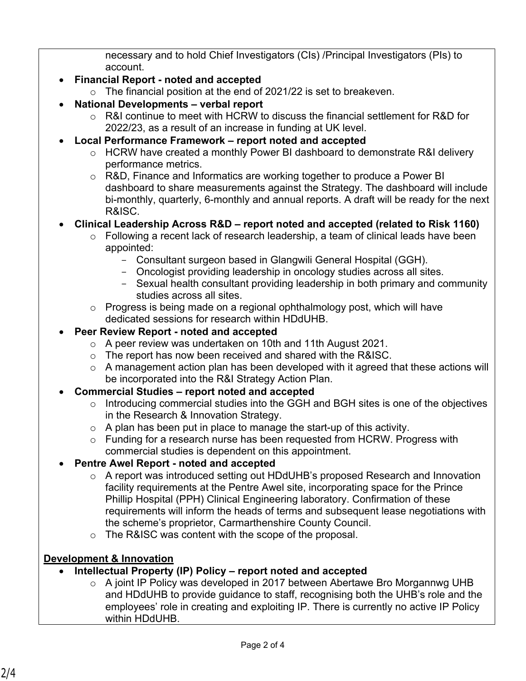necessary and to hold Chief Investigators (CIs) /Principal Investigators (PIs) to account.

# **Financial Report - noted and accepted**

- $\circ$  The financial position at the end of 2021/22 is set to breakeven.
- **National Developments verbal report**
	- o R&I continue to meet with HCRW to discuss the financial settlement for R&D for 2022/23, as a result of an increase in funding at UK level.
- **Local Performance Framework report noted and accepted**
	- $\circ$  HCRW have created a monthly Power BI dashboard to demonstrate R&I delivery performance metrics.
	- o R&D, Finance and Informatics are working together to produce a Power BI dashboard to share measurements against the Strategy. The dashboard will include bi-monthly, quarterly, 6-monthly and annual reports. A draft will be ready for the next R&ISC.

#### **Clinical Leadership Across R&D – report noted and accepted (related to Risk 1160)**

- o Following a recent lack of research leadership, a team of clinical leads have been appointed:
	- Consultant surgeon based in Glangwili General Hospital (GGH).
	- Oncologist providing leadership in oncology studies across all sites.
	- Sexual health consultant providing leadership in both primary and community studies across all sites.
- o Progress is being made on a regional ophthalmology post, which will have dedicated sessions for research within HDdUHB.

# **Peer Review Report - noted and accepted**

- o A peer review was undertaken on 10th and 11th August 2021.
- $\circ$  The report has now been received and shared with the R&ISC.
- $\circ$  A management action plan has been developed with it agreed that these actions will be incorporated into the R&I Strategy Action Plan.

# **Commercial Studies – report noted and accepted**

- o Introducing commercial studies into the GGH and BGH sites is one of the objectives in the Research & Innovation Strategy.
- $\circ$  A plan has been put in place to manage the start-up of this activity.
- o Funding for a research nurse has been requested from HCRW. Progress with commercial studies is dependent on this appointment.

# **Pentre Awel Report - noted and accepted**

- o A report was introduced setting out HDdUHB's proposed Research and Innovation facility requirements at the Pentre Awel site, incorporating space for the Prince Phillip Hospital (PPH) Clinical Engineering laboratory. Confirmation of these requirements will inform the heads of terms and subsequent lease negotiations with the scheme's proprietor, Carmarthenshire County Council.
- o The R&ISC was content with the scope of the proposal.

# **Development & Innovation**

- **Intellectual Property (IP) Policy report noted and accepted**
	- o A joint IP Policy was developed in 2017 between Abertawe Bro Morgannwg UHB and HDdUHB to provide guidance to staff, recognising both the UHB's role and the employees' role in creating and exploiting IP. There is currently no active IP Policy within HDdUHB.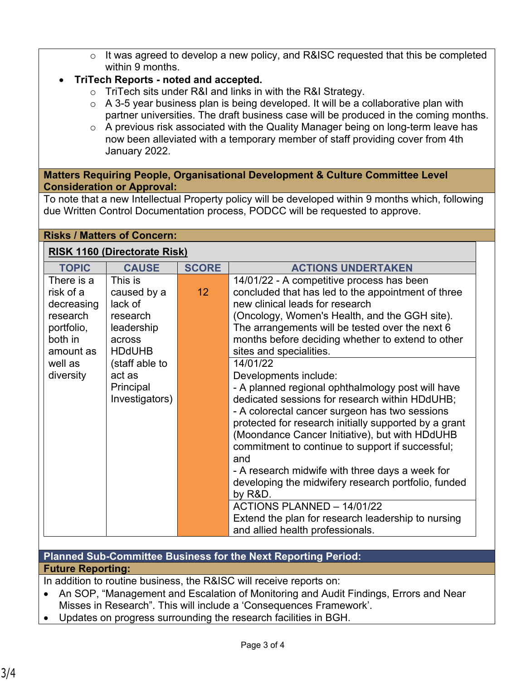o It was agreed to develop a new policy, and R&ISC requested that this be completed within 9 months.

# **TriTech Reports - noted and accepted.**

- o TriTech sits under R&I and links in with the R&I Strategy.
- $\circ$  A 3-5 year business plan is being developed. It will be a collaborative plan with partner universities. The draft business case will be produced in the coming months.
- o A previous risk associated with the Quality Manager being on long-term leave has now been alleviated with a temporary member of staff providing cover from 4th January 2022.

#### **Matters Requiring People, Organisational Development & Culture Committee Level Consideration or Approval:**

To note that a new Intellectual Property policy will be developed within 9 months which, following due Written Control Documentation process, PODCC will be requested to approve.

#### **Risks / Matters of Concern:**

#### **RISK 1160 (Directorate Risk)**

|                                                                                                                                                                                                                                                                      | <b>SCORE</b>    | <b>ACTIONS UNDERTAKEN</b>                                                                                                                                                                                                                                                                                                                                                                                                                                                                                                                                                                                                                                                                                                                                                                                                                                                                           |
|----------------------------------------------------------------------------------------------------------------------------------------------------------------------------------------------------------------------------------------------------------------------|-----------------|-----------------------------------------------------------------------------------------------------------------------------------------------------------------------------------------------------------------------------------------------------------------------------------------------------------------------------------------------------------------------------------------------------------------------------------------------------------------------------------------------------------------------------------------------------------------------------------------------------------------------------------------------------------------------------------------------------------------------------------------------------------------------------------------------------------------------------------------------------------------------------------------------------|
| There is a<br>This is<br>risk of a<br>caused by a<br>lack of<br>decreasing<br>research<br>research<br>portfolio,<br>leadership<br>both in<br>across<br><b>HDdUHB</b><br>amount as<br>(staff able to<br>well as<br>diversity<br>act as<br>Principal<br>Investigators) | 12 <sup>2</sup> | 14/01/22 - A competitive process has been<br>concluded that has led to the appointment of three<br>new clinical leads for research<br>(Oncology, Women's Health, and the GGH site).<br>The arrangements will be tested over the next 6<br>months before deciding whether to extend to other<br>sites and specialities.<br>14/01/22<br>Developments include:<br>- A planned regional ophthalmology post will have<br>dedicated sessions for research within HDdUHB;<br>- A colorectal cancer surgeon has two sessions<br>protected for research initially supported by a grant<br>(Moondance Cancer Initiative), but with HDdUHB<br>commitment to continue to support if successful;<br>and<br>- A research midwife with three days a week for<br>developing the midwifery research portfolio, funded<br>by R&D.<br>ACTIONS PLANNED - 14/01/22<br>Extend the plan for research leadership to nursing |

# **Planned Sub-Committee Business for the Next Reporting Period:**

# **Future Reporting:**

In addition to routine business, the R&ISC will receive reports on:

- An SOP, "Management and Escalation of Monitoring and Audit Findings, Errors and Near Misses in Research". This will include a 'Consequences Framework'.
- Updates on progress surrounding the research facilities in BGH.